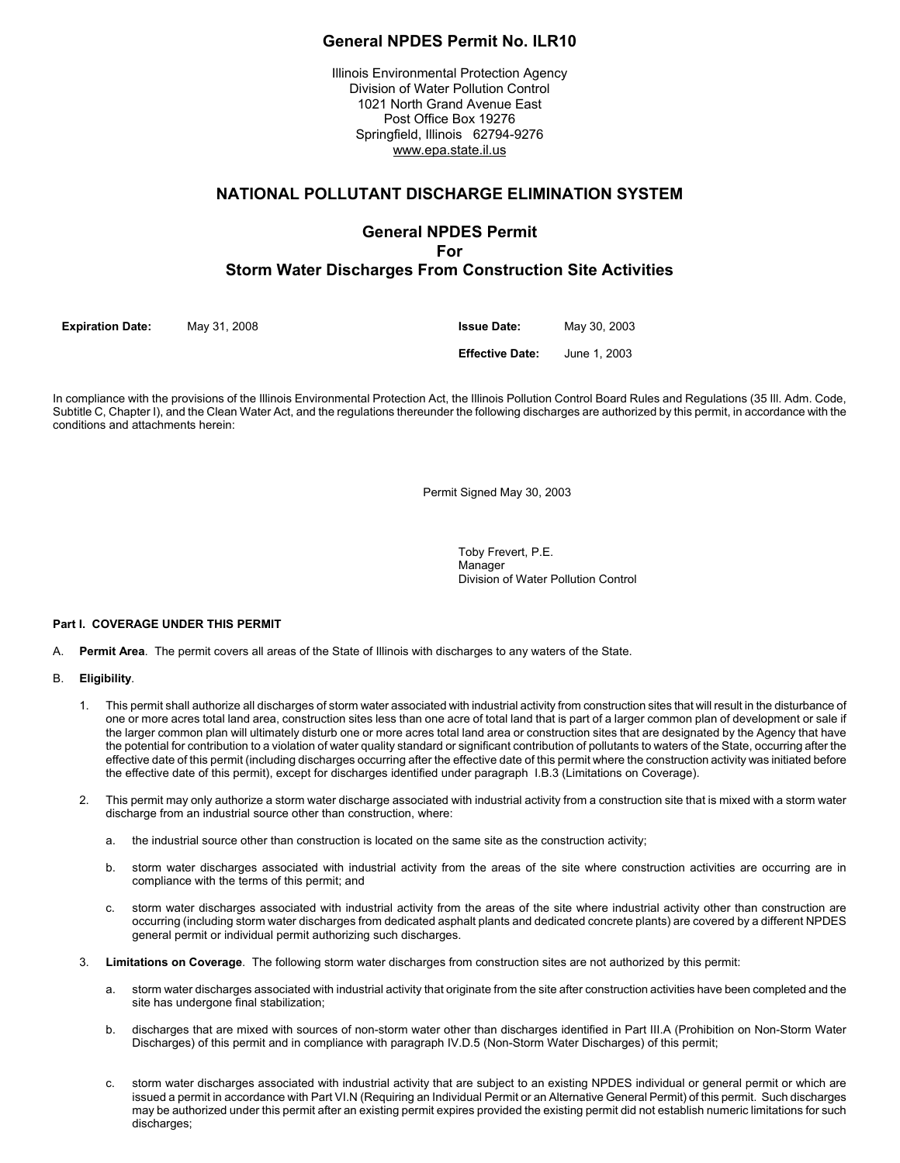# **General NPDES Permit No. ILR10**

Illinois Environmental Protection Agency Division of Water Pollution Control 1021 North Grand Avenue East Post Office Box 19276 Springfield, Illinois 62794-9276 www.epa.state.il.us

# **NATIONAL POLLUTANT DISCHARGE ELIMINATION SYSTEM**

# **General NPDES Permit For Storm Water Discharges From Construction Site Activities**

**Expiration Date:** May 31, 2008 **Issue Date:** May 30, 2003

**Effective Date:** June 1, 2003

In compliance with the provisions of the Illinois Environmental Protection Act, the Illinois Pollution Control Board Rules and Regulations (35 Ill. Adm. Code, Subtitle C, Chapter I), and the Clean Water Act, and the regulations thereunder the following discharges are authorized by this permit, in accordance with the conditions and attachments herein:

Permit Signed May 30, 2003

Toby Frevert, P.E. Manager Division of Water Pollution Control

# **Part I. COVERAGE UNDER THIS PERMIT**

A. **Permit Area**. The permit covers all areas of the State of Illinois with discharges to any waters of the State.

### B. **Eligibility**.

- 1. This permit shall authorize all discharges of storm water associated with industrial activity from construction sites that will result in the disturbance of one or more acres total land area, construction sites less than one acre of total land that is part of a larger common plan of development or sale if the larger common plan will ultimately disturb one or more acres total land area or construction sites that are designated by the Agency that have the potential for contribution to a violation of water quality standard or significant contribution of pollutants to waters of the State, occurring after the effective date of this permit (including discharges occurring after the effective date of this permit where the construction activity was initiated before the effective date of this permit), except for discharges identified under paragraph I.B.3 (Limitations on Coverage).
- 2. This permit may only authorize a storm water discharge associated with industrial activity from a construction site that is mixed with a storm water discharge from an industrial source other than construction, where:
	- a. the industrial source other than construction is located on the same site as the construction activity;
	- b. storm water discharges associated with industrial activity from the areas of the site where construction activities are occurring are in compliance with the terms of this permit; and
	- c. storm water discharges associated with industrial activity from the areas of the site where industrial activity other than construction are occurring (including storm water discharges from dedicated asphalt plants and dedicated concrete plants) are covered by a different NPDES general permit or individual permit authorizing such discharges.
- 3. **Limitations on Coverage**. The following storm water discharges from construction sites are not authorized by this permit:
	- a. storm water discharges associated with industrial activity that originate from the site after construction activities have been completed and the site has undergone final stabilization;
	- b. discharges that are mixed with sources of non-storm water other than discharges identified in Part III.A (Prohibition on Non-Storm Water Discharges) of this permit and in compliance with paragraph IV.D.5 (Non-Storm Water Discharges) of this permit;
	- c. storm water discharges associated with industrial activity that are subject to an existing NPDES individual or general permit or which are issued a permit in accordance with Part VI.N (Requiring an Individual Permit or an Alternative General Permit) of this permit. Such discharges may be authorized under this permit after an existing permit expires provided the existing permit did not establish numeric limitations for such discharges: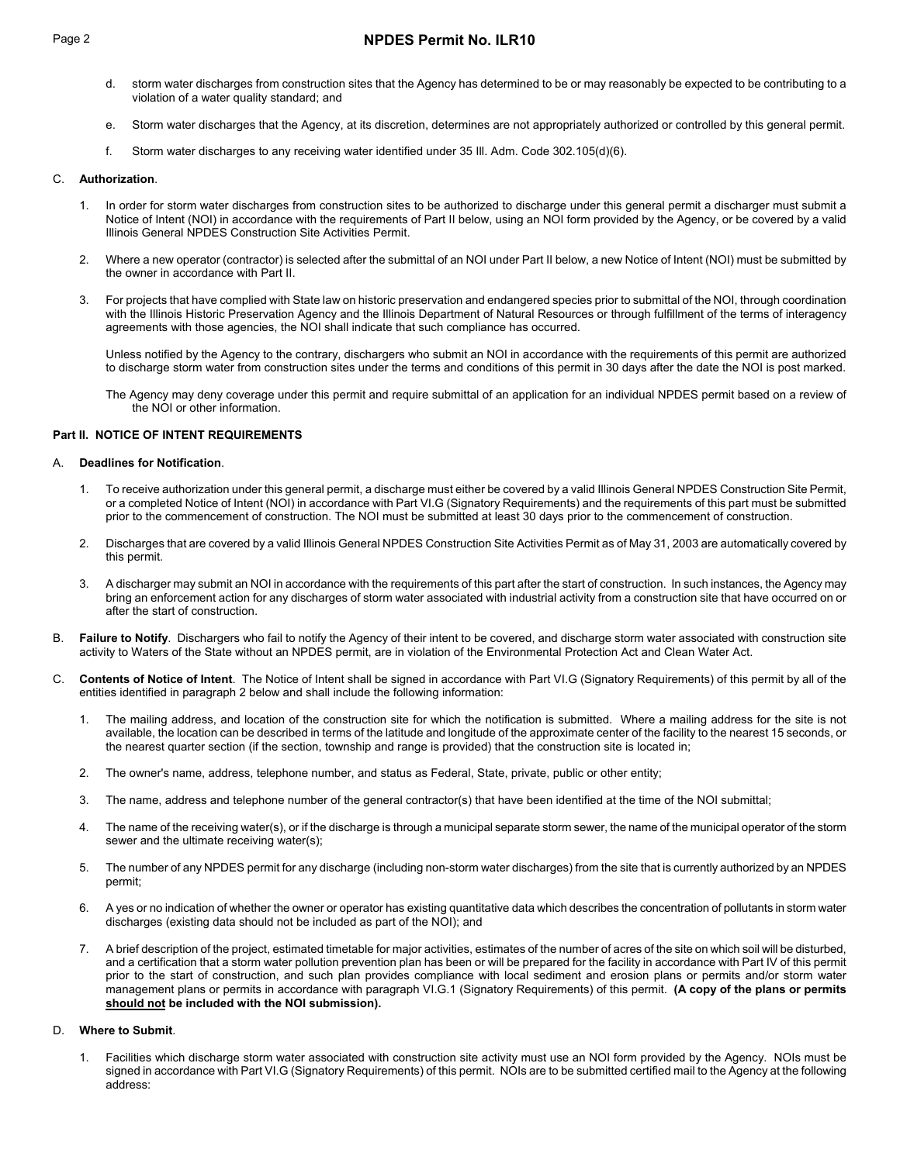# Page 2 **NPDES Permit No. ILR10**

- d. storm water discharges from construction sites that the Agency has determined to be or may reasonably be expected to be contributing to a violation of a water quality standard; and
- e. Storm water discharges that the Agency, at its discretion, determines are not appropriately authorized or controlled by this general permit.
- f. Storm water discharges to any receiving water identified under 35 Ill. Adm. Code 302.105(d)(6).

## C. **Authorization**.

- 1. In order for storm water discharges from construction sites to be authorized to discharge under this general permit a discharger must submit a Notice of Intent (NOI) in accordance with the requirements of Part II below, using an NOI form provided by the Agency, or be covered by a valid Illinois General NPDES Construction Site Activities Permit.
- 2. Where a new operator (contractor) is selected after the submittal of an NOI under Part II below, a new Notice of Intent (NOI) must be submitted by the owner in accordance with Part II.
- 3. For projects that have complied with State law on historic preservation and endangered species prior to submittal of the NOI, through coordination with the Illinois Historic Preservation Agency and the Illinois Department of Natural Resources or through fulfillment of the terms of interagency agreements with those agencies, the NOI shall indicate that such compliance has occurred.

Unless notified by the Agency to the contrary, dischargers who submit an NOI in accordance with the requirements of this permit are authorized to discharge storm water from construction sites under the terms and conditions of this permit in 30 days after the date the NOI is post marked.

The Agency may deny coverage under this permit and require submittal of an application for an individual NPDES permit based on a review of the NOI or other information.

## **Part II. NOTICE OF INTENT REQUIREMENTS**

### A. **Deadlines for Notification**.

- 1. To receive authorization under this general permit, a discharge must either be covered by a valid Illinois General NPDES Construction Site Permit, or a completed Notice of Intent (NOI) in accordance with Part VI.G (Signatory Requirements) and the requirements of this part must be submitted prior to the commencement of construction. The NOI must be submitted at least 30 days prior to the commencement of construction.
- 2. Discharges that are covered by a valid Illinois General NPDES Construction Site Activities Permit as of May 31, 2003 are automatically covered by this permit.
- 3. A discharger may submit an NOI in accordance with the requirements of this part after the start of construction. In such instances, the Agency may bring an enforcement action for any discharges of storm water associated with industrial activity from a construction site that have occurred on or after the start of construction.
- B. **Failure to Notify**. Dischargers who fail to notify the Agency of their intent to be covered, and discharge storm water associated with construction site activity to Waters of the State without an NPDES permit, are in violation of the Environmental Protection Act and Clean Water Act.
- C. **Contents of Notice of Intent**. The Notice of Intent shall be signed in accordance with Part VI.G (Signatory Requirements) of this permit by all of the entities identified in paragraph 2 below and shall include the following information:
	- 1. The mailing address, and location of the construction site for which the notification is submitted. Where a mailing address for the site is not available, the location can be described in terms of the latitude and longitude of the approximate center of the facility to the nearest 15 seconds, or the nearest quarter section (if the section, township and range is provided) that the construction site is located in;
	- 2. The owner's name, address, telephone number, and status as Federal, State, private, public or other entity;
	- 3. The name, address and telephone number of the general contractor(s) that have been identified at the time of the NOI submittal;
	- 4. The name of the receiving water(s), or if the discharge is through a municipal separate storm sewer, the name of the municipal operator of the storm sewer and the ultimate receiving water(s);
	- 5. The number of any NPDES permit for any discharge (including non-storm water discharges) from the site that is currently authorized by an NPDES permit;
	- 6. A yes or no indication of whether the owner or operator has existing quantitative data which describes the concentration of pollutants in storm water discharges (existing data should not be included as part of the NOI); and
	- 7. A brief description of the project, estimated timetable for major activities, estimates of the number of acres of the site on which soil will be disturbed, and a certification that a storm water pollution prevention plan has been or will be prepared for the facility in accordance with Part IV of this permit prior to the start of construction, and such plan provides compliance with local sediment and erosion plans or permits and/or storm water management plans or permits in accordance with paragraph VI.G.1 (Signatory Requirements) of this permit. **(A copy of the plans or permits should not be included with the NOI submission).**

# D. **Where to Submit**.

1. Facilities which discharge storm water associated with construction site activity must use an NOI form provided by the Agency. NOIs must be signed in accordance with Part VI.G (Signatory Requirements) of this permit. NOIs are to be submitted certified mail to the Agency at the following address: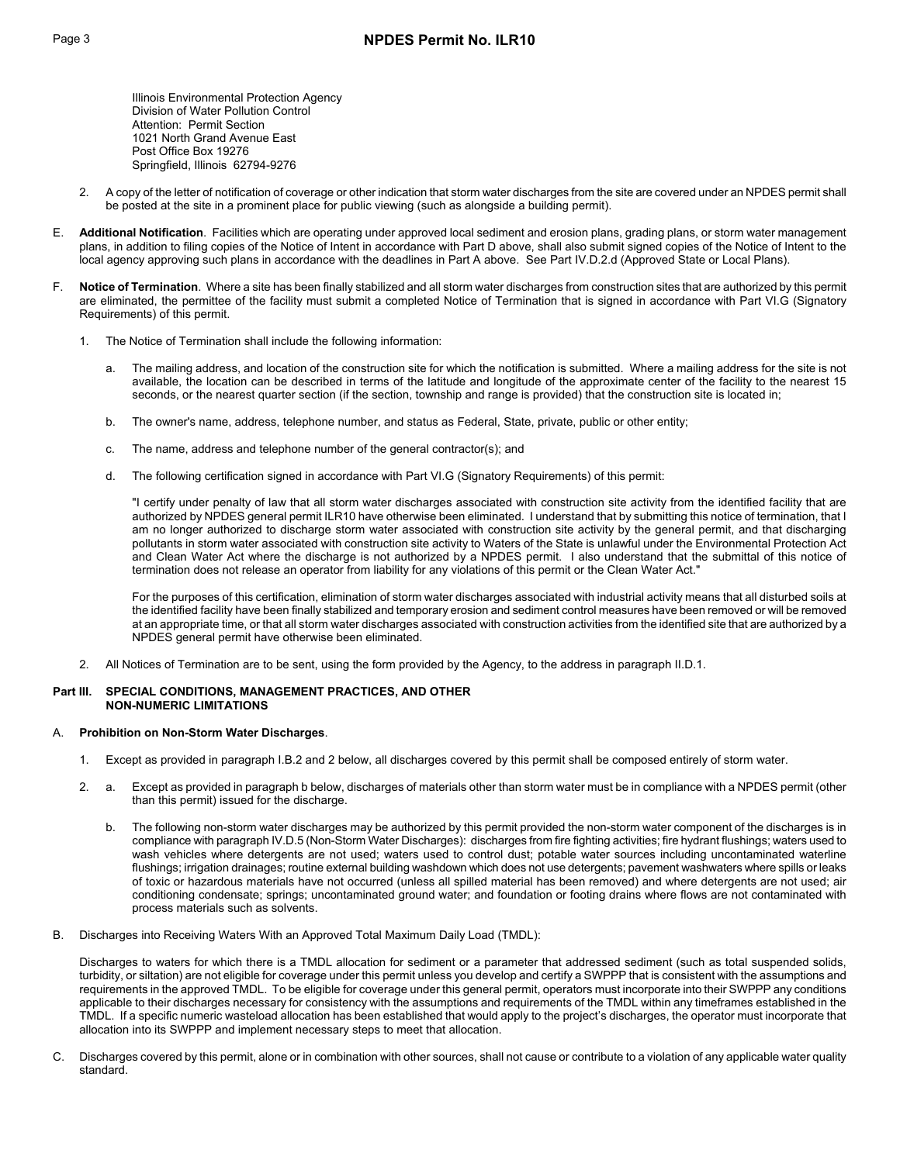Illinois Environmental Protection Agency Division of Water Pollution Control Attention: Permit Section 1021 North Grand Avenue East Post Office Box 19276 Springfield, Illinois 62794-9276

- 2. A copy of the letter of notification of coverage or other indication that storm water discharges from the site are covered under an NPDES permit shall be posted at the site in a prominent place for public viewing (such as alongside a building permit).
- E. **Additional Notification**. Facilities which are operating under approved local sediment and erosion plans, grading plans, or storm water management plans, in addition to filing copies of the Notice of Intent in accordance with Part D above, shall also submit signed copies of the Notice of Intent to the local agency approving such plans in accordance with the deadlines in Part A above. See Part IV.D.2.d (Approved State or Local Plans).
- Notice of Termination. Where a site has been finally stabilized and all storm water discharges from construction sites that are authorized by this permit are eliminated, the permittee of the facility must submit a completed Notice of Termination that is signed in accordance with Part VI.G (Signatory Requirements) of this permit.
	- 1. The Notice of Termination shall include the following information:
		- The mailing address, and location of the construction site for which the notification is submitted. Where a mailing address for the site is not available, the location can be described in terms of the latitude and longitude of the approximate center of the facility to the nearest 15 seconds, or the nearest quarter section (if the section, township and range is provided) that the construction site is located in;
		- b. The owner's name, address, telephone number, and status as Federal, State, private, public or other entity;
		- c. The name, address and telephone number of the general contractor(s); and
		- d. The following certification signed in accordance with Part VI.G (Signatory Requirements) of this permit:

"I certify under penalty of law that all storm water discharges associated with construction site activity from the identified facility that are authorized by NPDES general permit ILR10 have otherwise been eliminated. I understand that by submitting this notice of termination, that I am no longer authorized to discharge storm water associated with construction site activity by the general permit, and that discharging pollutants in storm water associated with construction site activity to Waters of the State is unlawful under the Environmental Protection Act and Clean Water Act where the discharge is not authorized by a NPDES permit. I also understand that the submittal of this notice of termination does not release an operator from liability for any violations of this permit or the Clean Water Act."

For the purposes of this certification, elimination of storm water discharges associated with industrial activity means that all disturbed soils at the identified facility have been finally stabilized and temporary erosion and sediment control measures have been removed or will be removed at an appropriate time, or that all storm water discharges associated with construction activities from the identified site that are authorized by a NPDES general permit have otherwise been eliminated.

2. All Notices of Termination are to be sent, using the form provided by the Agency, to the address in paragraph II.D.1.

# **Part III. SPECIAL CONDITIONS, MANAGEMENT PRACTICES, AND OTHER NON-NUMERIC LIMITATIONS**

### A. **Prohibition on Non-Storm Water Discharges**.

- 1. Except as provided in paragraph I.B.2 and 2 below, all discharges covered by this permit shall be composed entirely of storm water.
- 2. a. Except as provided in paragraph b below, discharges of materials other than storm water must be in compliance with a NPDES permit (other than this permit) issued for the discharge.
	- b. The following non-storm water discharges may be authorized by this permit provided the non-storm water component of the discharges is in compliance with paragraph IV.D.5 (Non-Storm Water Discharges): discharges from fire fighting activities; fire hydrant flushings; waters used to wash vehicles where detergents are not used; waters used to control dust; potable water sources including uncontaminated waterline flushings; irrigation drainages; routine external building washdown which does not use detergents; pavement washwaters where spills or leaks of toxic or hazardous materials have not occurred (unless all spilled material has been removed) and where detergents are not used; air conditioning condensate; springs; uncontaminated ground water; and foundation or footing drains where flows are not contaminated with process materials such as solvents.
- B. Discharges into Receiving Waters With an Approved Total Maximum Daily Load (TMDL):

 Discharges to waters for which there is a TMDL allocation for sediment or a parameter that addressed sediment (such as total suspended solids, turbidity, or siltation) are not eligible for coverage under this permit unless you develop and certify a SWPPP that is consistent with the assumptions and requirements in the approved TMDL. To be eligible for coverage under this general permit, operators must incorporate into their SWPPP any conditions applicable to their discharges necessary for consistency with the assumptions and requirements of the TMDL within any timeframes established in the TMDL. If a specific numeric wasteload allocation has been established that would apply to the project's discharges, the operator must incorporate that allocation into its SWPPP and implement necessary steps to meet that allocation.

C. Discharges covered by this permit, alone or in combination with other sources, shall not cause or contribute to a violation of any applicable water quality standard.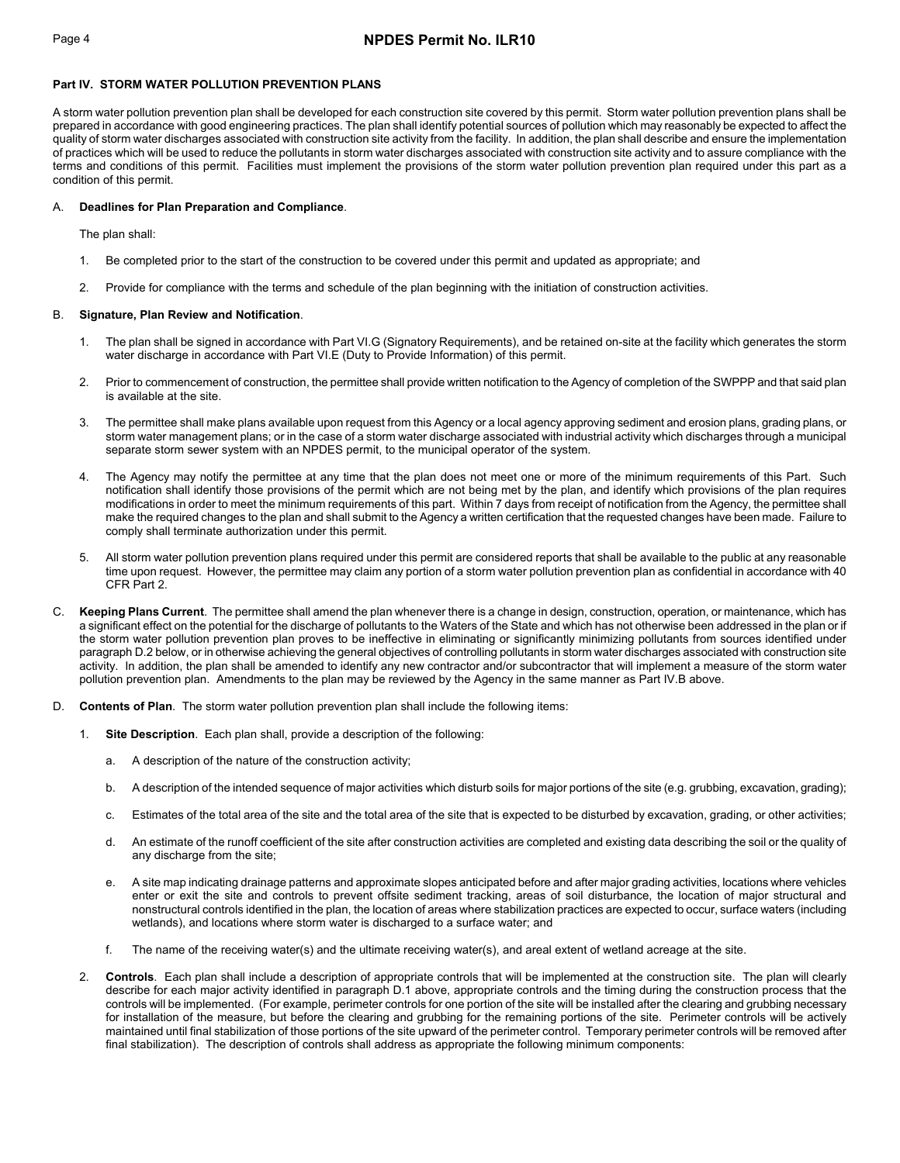# Page 4 **NPDES Permit No. ILR10**

## **Part IV. STORM WATER POLLUTION PREVENTION PLANS**

A storm water pollution prevention plan shall be developed for each construction site covered by this permit. Storm water pollution prevention plans shall be prepared in accordance with good engineering practices. The plan shall identify potential sources of pollution which may reasonably be expected to affect the quality of storm water discharges associated with construction site activity from the facility. In addition, the plan shall describe and ensure the implementation of practices which will be used to reduce the pollutants in storm water discharges associated with construction site activity and to assure compliance with the terms and conditions of this permit. Facilities must implement the provisions of the storm water pollution prevention plan required under this part as a condition of this permit.

## A. **Deadlines for Plan Preparation and Compliance**.

The plan shall:

- 1. Be completed prior to the start of the construction to be covered under this permit and updated as appropriate; and
- 2. Provide for compliance with the terms and schedule of the plan beginning with the initiation of construction activities.

### B. **Signature, Plan Review and Notification**.

- 1. The plan shall be signed in accordance with Part VI.G (Signatory Requirements), and be retained on-site at the facility which generates the storm water discharge in accordance with Part VI.E (Duty to Provide Information) of this permit.
- 2. Prior to commencement of construction, the permittee shall provide written notification to the Agency of completion of the SWPPP and that said plan is available at the site.
- 3. The permittee shall make plans available upon request from this Agency or a local agency approving sediment and erosion plans, grading plans, or storm water management plans; or in the case of a storm water discharge associated with industrial activity which discharges through a municipal separate storm sewer system with an NPDES permit, to the municipal operator of the system.
- 4. The Agency may notify the permittee at any time that the plan does not meet one or more of the minimum requirements of this Part. Such notification shall identify those provisions of the permit which are not being met by the plan, and identify which provisions of the plan requires modifications in order to meet the minimum requirements of this part. Within 7 days from receipt of notification from the Agency, the permittee shall make the required changes to the plan and shall submit to the Agency a written certification that the requested changes have been made. Failure to comply shall terminate authorization under this permit.
- 5. All storm water pollution prevention plans required under this permit are considered reports that shall be available to the public at any reasonable time upon request. However, the permittee may claim any portion of a storm water pollution prevention plan as confidential in accordance with 40 CFR Part 2.
- C. **Keeping Plans Current**. The permittee shall amend the plan whenever there is a change in design, construction, operation, or maintenance, which has a significant effect on the potential for the discharge of pollutants to the Waters of the State and which has not otherwise been addressed in the plan or if the storm water pollution prevention plan proves to be ineffective in eliminating or significantly minimizing pollutants from sources identified under paragraph D.2 below, or in otherwise achieving the general objectives of controlling pollutants in storm water discharges associated with construction site activity. In addition, the plan shall be amended to identify any new contractor and/or subcontractor that will implement a measure of the storm water pollution prevention plan. Amendments to the plan may be reviewed by the Agency in the same manner as Part IV.B above.
- D. **Contents of Plan**. The storm water pollution prevention plan shall include the following items:
	- 1. **Site Description**. Each plan shall, provide a description of the following:
		- a. A description of the nature of the construction activity;
		- b. A description of the intended sequence of major activities which disturb soils for major portions of the site (e.g. grubbing, excavation, grading);
		- c. Estimates of the total area of the site and the total area of the site that is expected to be disturbed by excavation, grading, or other activities;
		- d. An estimate of the runoff coefficient of the site after construction activities are completed and existing data describing the soil or the quality of any discharge from the site;
		- e. A site map indicating drainage patterns and approximate slopes anticipated before and after major grading activities, locations where vehicles enter or exit the site and controls to prevent offsite sediment tracking, areas of soil disturbance, the location of major structural and nonstructural controls identified in the plan, the location of areas where stabilization practices are expected to occur, surface waters (including wetlands), and locations where storm water is discharged to a surface water; and
		- f. The name of the receiving water(s) and the ultimate receiving water(s), and areal extent of wetland acreage at the site.
	- 2. **Controls**. Each plan shall include a description of appropriate controls that will be implemented at the construction site. The plan will clearly describe for each major activity identified in paragraph D.1 above, appropriate controls and the timing during the construction process that the controls will be implemented. (For example, perimeter controls for one portion of the site will be installed after the clearing and grubbing necessary for installation of the measure, but before the clearing and grubbing for the remaining portions of the site. Perimeter controls will be actively maintained until final stabilization of those portions of the site upward of the perimeter control. Temporary perimeter controls will be removed after final stabilization). The description of controls shall address as appropriate the following minimum components: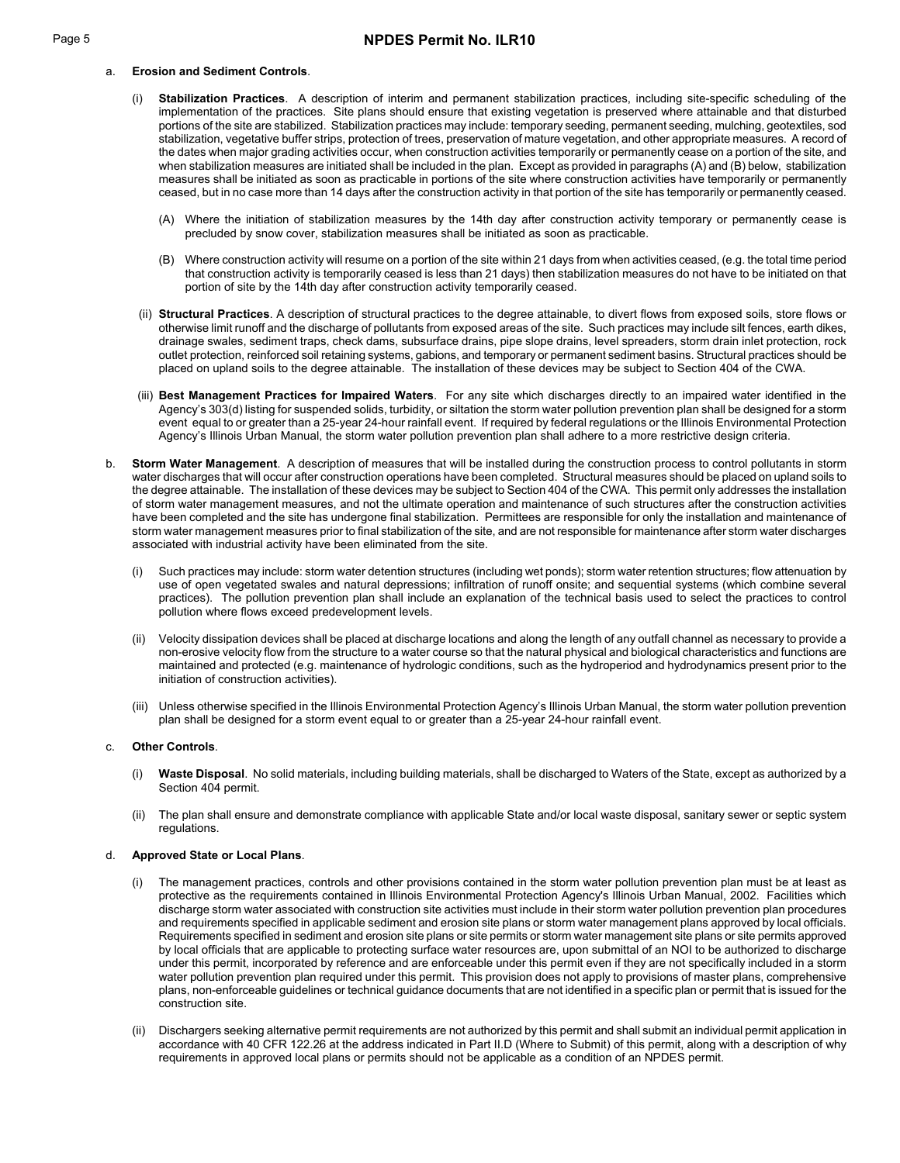# a. **Erosion and Sediment Controls**.

- (i) **Stabilization Practices**. A description of interim and permanent stabilization practices, including site-specific scheduling of the implementation of the practices. Site plans should ensure that existing vegetation is preserved where attainable and that disturbed portions of the site are stabilized. Stabilization practices may include: temporary seeding, permanent seeding, mulching, geotextiles, sod stabilization, vegetative buffer strips, protection of trees, preservation of mature vegetation, and other appropriate measures. A record of the dates when major grading activities occur, when construction activities temporarily or permanently cease on a portion of the site, and when stabilization measures are initiated shall be included in the plan. Except as provided in paragraphs (A) and (B) below, stabilization measures shall be initiated as soon as practicable in portions of the site where construction activities have temporarily or permanently ceased, but in no case more than 14 days after the construction activity in that portion of the site has temporarily or permanently ceased.
	- (A) Where the initiation of stabilization measures by the 14th day after construction activity temporary or permanently cease is precluded by snow cover, stabilization measures shall be initiated as soon as practicable.
	- (B) Where construction activity will resume on a portion of the site within 21 days from when activities ceased, (e.g. the total time period that construction activity is temporarily ceased is less than 21 days) then stabilization measures do not have to be initiated on that portion of site by the 14th day after construction activity temporarily ceased.
- (ii) **Structural Practices**. A description of structural practices to the degree attainable, to divert flows from exposed soils, store flows or otherwise limit runoff and the discharge of pollutants from exposed areas of the site. Such practices may include silt fences, earth dikes, drainage swales, sediment traps, check dams, subsurface drains, pipe slope drains, level spreaders, storm drain inlet protection, rock outlet protection, reinforced soil retaining systems, gabions, and temporary or permanent sediment basins. Structural practices should be placed on upland soils to the degree attainable. The installation of these devices may be subject to Section 404 of the CWA.
- (iii) **Best Management Practices for Impaired Waters**. For any site which discharges directly to an impaired water identified in the Agency's 303(d) listing for suspended solids, turbidity, or siltation the storm water pollution prevention plan shall be designed for a storm event equal to or greater than a 25-year 24-hour rainfall event. If required by federal regulations or the Illinois Environmental Protection Agency's Illinois Urban Manual, the storm water pollution prevention plan shall adhere to a more restrictive design criteria.
- b. **Storm Water Management**. A description of measures that will be installed during the construction process to control pollutants in storm water discharges that will occur after construction operations have been completed. Structural measures should be placed on upland soils to the degree attainable. The installation of these devices may be subject to Section 404 of the CWA. This permit only addresses the installation of storm water management measures, and not the ultimate operation and maintenance of such structures after the construction activities have been completed and the site has undergone final stabilization. Permittees are responsible for only the installation and maintenance of storm water management measures prior to final stabilization of the site, and are not responsible for maintenance after storm water discharges associated with industrial activity have been eliminated from the site.
	- (i) Such practices may include: storm water detention structures (including wet ponds); storm water retention structures; flow attenuation by use of open vegetated swales and natural depressions; infiltration of runoff onsite; and sequential systems (which combine several practices). The pollution prevention plan shall include an explanation of the technical basis used to select the practices to control pollution where flows exceed predevelopment levels.
	- (ii) Velocity dissipation devices shall be placed at discharge locations and along the length of any outfall channel as necessary to provide a non-erosive velocity flow from the structure to a water course so that the natural physical and biological characteristics and functions are maintained and protected (e.g. maintenance of hydrologic conditions, such as the hydroperiod and hydrodynamics present prior to the initiation of construction activities).
	- (iii) Unless otherwise specified in the Illinois Environmental Protection Agency's Illinois Urban Manual, the storm water pollution prevention plan shall be designed for a storm event equal to or greater than a 25-year 24-hour rainfall event.

### c. **Other Controls**.

- (i) **Waste Disposal**. No solid materials, including building materials, shall be discharged to Waters of the State, except as authorized by a Section 404 permit.
- (ii) The plan shall ensure and demonstrate compliance with applicable State and/or local waste disposal, sanitary sewer or septic system regulations.

### d. **Approved State or Local Plans**.

- The management practices, controls and other provisions contained in the storm water pollution prevention plan must be at least as protective as the requirements contained in Illinois Environmental Protection Agency's Illinois Urban Manual, 2002. Facilities which discharge storm water associated with construction site activities must include in their storm water pollution prevention plan procedures and requirements specified in applicable sediment and erosion site plans or storm water management plans approved by local officials. Requirements specified in sediment and erosion site plans or site permits or storm water management site plans or site permits approved by local officials that are applicable to protecting surface water resources are, upon submittal of an NOI to be authorized to discharge under this permit, incorporated by reference and are enforceable under this permit even if they are not specifically included in a storm water pollution prevention plan required under this permit. This provision does not apply to provisions of master plans, comprehensive plans, non-enforceable guidelines or technical guidance documents that are not identified in a specific plan or permit that is issued for the construction site.
- (ii) Dischargers seeking alternative permit requirements are not authorized by this permit and shall submit an individual permit application in accordance with 40 CFR 122.26 at the address indicated in Part II.D (Where to Submit) of this permit, along with a description of why requirements in approved local plans or permits should not be applicable as a condition of an NPDES permit.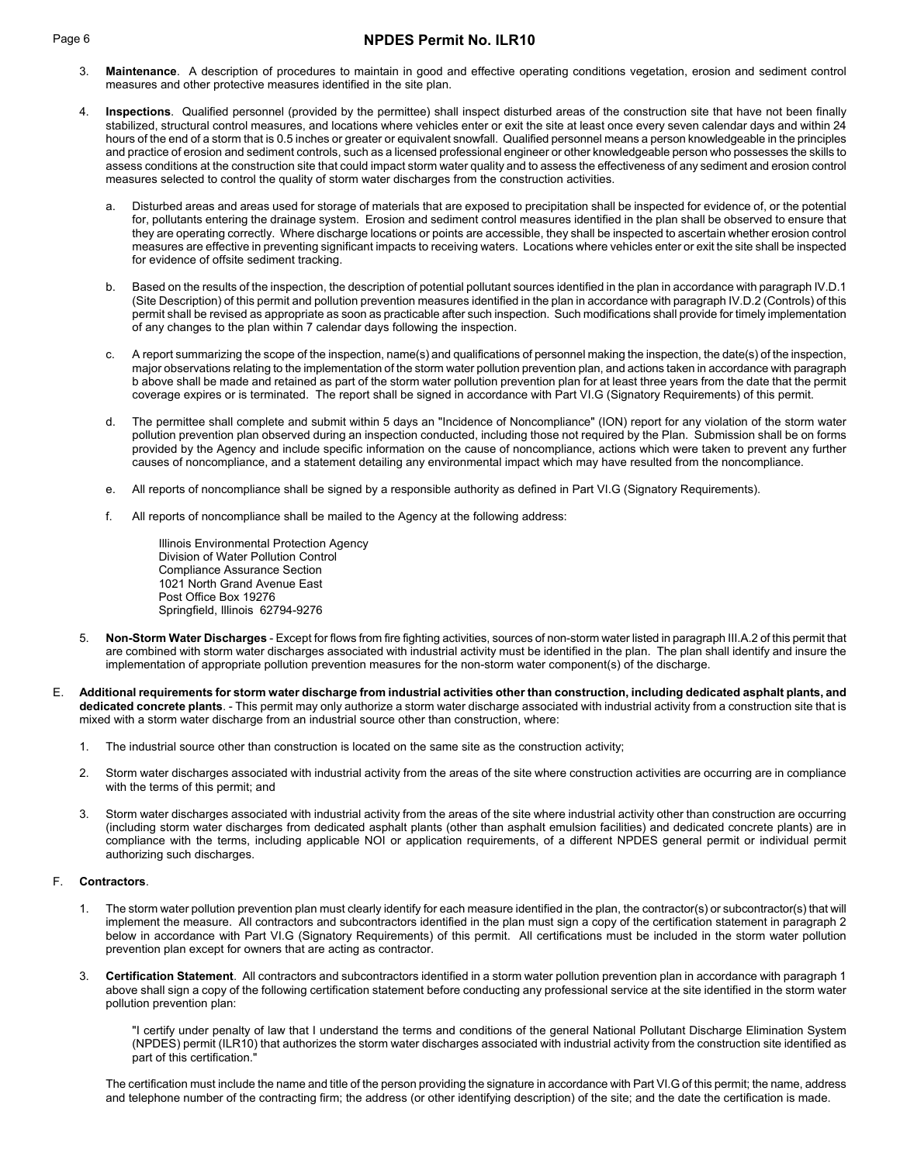# Page 6 **NPDES Permit No. ILR10**

- 3. **Maintenance**. A description of procedures to maintain in good and effective operating conditions vegetation, erosion and sediment control measures and other protective measures identified in the site plan.
- 4. **Inspections**. Qualified personnel (provided by the permittee) shall inspect disturbed areas of the construction site that have not been finally stabilized, structural control measures, and locations where vehicles enter or exit the site at least once every seven calendar days and within 24 hours of the end of a storm that is 0.5 inches or greater or equivalent snowfall. Qualified personnel means a person knowledgeable in the principles and practice of erosion and sediment controls, such as a licensed professional engineer or other knowledgeable person who possesses the skills to assess conditions at the construction site that could impact storm water quality and to assess the effectiveness of any sediment and erosion control measures selected to control the quality of storm water discharges from the construction activities.
	- a. Disturbed areas and areas used for storage of materials that are exposed to precipitation shall be inspected for evidence of, or the potential for, pollutants entering the drainage system. Erosion and sediment control measures identified in the plan shall be observed to ensure that they are operating correctly. Where discharge locations or points are accessible, they shall be inspected to ascertain whether erosion control measures are effective in preventing significant impacts to receiving waters. Locations where vehicles enter or exit the site shall be inspected for evidence of offsite sediment tracking.
	- b. Based on the results of the inspection, the description of potential pollutant sources identified in the plan in accordance with paragraph IV.D.1 (Site Description) of this permit and pollution prevention measures identified in the plan in accordance with paragraph IV.D.2 (Controls) of this permit shall be revised as appropriate as soon as practicable after such inspection. Such modifications shall provide for timely implementation of any changes to the plan within 7 calendar days following the inspection.
	- c. A report summarizing the scope of the inspection, name(s) and qualifications of personnel making the inspection, the date(s) of the inspection, major observations relating to the implementation of the storm water pollution prevention plan, and actions taken in accordance with paragraph b above shall be made and retained as part of the storm water pollution prevention plan for at least three years from the date that the permit coverage expires or is terminated. The report shall be signed in accordance with Part VI.G (Signatory Requirements) of this permit.
	- d. The permittee shall complete and submit within 5 days an "Incidence of Noncompliance" (ION) report for any violation of the storm water pollution prevention plan observed during an inspection conducted, including those not required by the Plan. Submission shall be on forms provided by the Agency and include specific information on the cause of noncompliance, actions which were taken to prevent any further causes of noncompliance, and a statement detailing any environmental impact which may have resulted from the noncompliance.
	- e. All reports of noncompliance shall be signed by a responsible authority as defined in Part VI.G (Signatory Requirements).
	- f. All reports of noncompliance shall be mailed to the Agency at the following address:

Illinois Environmental Protection Agency Division of Water Pollution Control Compliance Assurance Section 1021 North Grand Avenue East Post Office Box 19276 Springfield, Illinois 62794-9276

- 5. **Non-Storm Water Discharges** Except for flows from fire fighting activities, sources of non-storm water listed in paragraph III.A.2 of this permit that are combined with storm water discharges associated with industrial activity must be identified in the plan. The plan shall identify and insure the implementation of appropriate pollution prevention measures for the non-storm water component(s) of the discharge.
- E. **Additional requirements for storm water discharge from industrial activities other than construction, including dedicated asphalt plants, and dedicated concrete plants**. - This permit may only authorize a storm water discharge associated with industrial activity from a construction site that is mixed with a storm water discharge from an industrial source other than construction, where:
	- 1. The industrial source other than construction is located on the same site as the construction activity;
	- 2. Storm water discharges associated with industrial activity from the areas of the site where construction activities are occurring are in compliance with the terms of this permit; and
	- 3. Storm water discharges associated with industrial activity from the areas of the site where industrial activity other than construction are occurring (including storm water discharges from dedicated asphalt plants (other than asphalt emulsion facilities) and dedicated concrete plants) are in compliance with the terms, including applicable NOI or application requirements, of a different NPDES general permit or individual permit authorizing such discharges.

# F. **Contractors**.

- 1. The storm water pollution prevention plan must clearly identify for each measure identified in the plan, the contractor(s) or subcontractor(s) that will implement the measure. All contractors and subcontractors identified in the plan must sign a copy of the certification statement in paragraph 2 below in accordance with Part VI.G (Signatory Requirements) of this permit. All certifications must be included in the storm water pollution prevention plan except for owners that are acting as contractor.
- 3. **Certification Statement**. All contractors and subcontractors identified in a storm water pollution prevention plan in accordance with paragraph 1 above shall sign a copy of the following certification statement before conducting any professional service at the site identified in the storm water pollution prevention plan:

"I certify under penalty of law that I understand the terms and conditions of the general National Pollutant Discharge Elimination System (NPDES) permit (ILR10) that authorizes the storm water discharges associated with industrial activity from the construction site identified as part of this certification."

The certification must include the name and title of the person providing the signature in accordance with Part VI.G of this permit; the name, address and telephone number of the contracting firm; the address (or other identifying description) of the site; and the date the certification is made.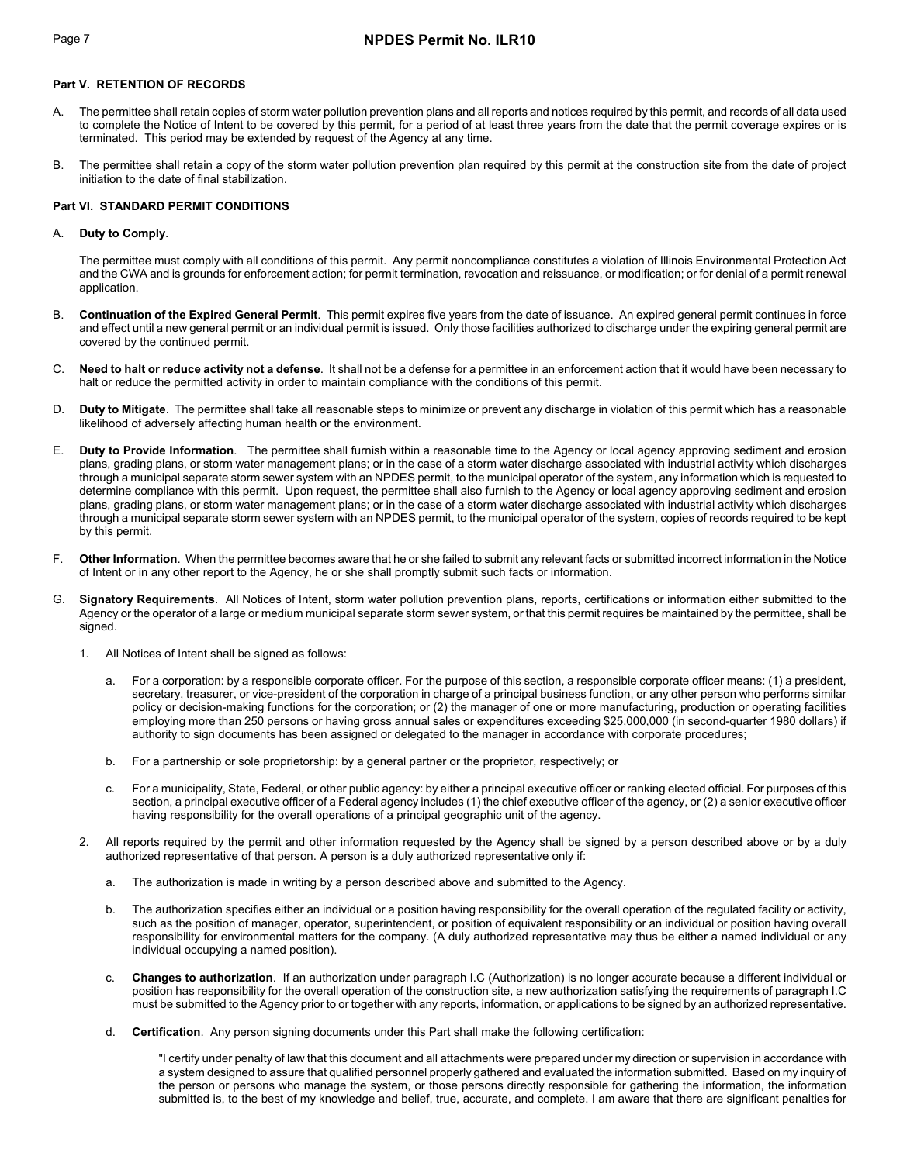# **Part V. RETENTION OF RECORDS**

- A. The permittee shall retain copies of storm water pollution prevention plans and all reports and notices required by this permit, and records of all data used to complete the Notice of Intent to be covered by this permit, for a period of at least three years from the date that the permit coverage expires or is terminated. This period may be extended by request of the Agency at any time.
- B. The permittee shall retain a copy of the storm water pollution prevention plan required by this permit at the construction site from the date of project initiation to the date of final stabilization.

# **Part VI. STANDARD PERMIT CONDITIONS**

## A. **Duty to Comply**.

The permittee must comply with all conditions of this permit. Any permit noncompliance constitutes a violation of Illinois Environmental Protection Act and the CWA and is grounds for enforcement action; for permit termination, revocation and reissuance, or modification; or for denial of a permit renewal application.

- B. **Continuation of the Expired General Permit**. This permit expires five years from the date of issuance. An expired general permit continues in force and effect until a new general permit or an individual permit is issued. Only those facilities authorized to discharge under the expiring general permit are covered by the continued permit.
- C. **Need to halt or reduce activity not a defense**. It shall not be a defense for a permittee in an enforcement action that it would have been necessary to halt or reduce the permitted activity in order to maintain compliance with the conditions of this permit.
- D. **Duty to Mitigate**. The permittee shall take all reasonable steps to minimize or prevent any discharge in violation of this permit which has a reasonable likelihood of adversely affecting human health or the environment.
- E. **Duty to Provide Information**. The permittee shall furnish within a reasonable time to the Agency or local agency approving sediment and erosion plans, grading plans, or storm water management plans; or in the case of a storm water discharge associated with industrial activity which discharges through a municipal separate storm sewer system with an NPDES permit, to the municipal operator of the system, any information which is requested to determine compliance with this permit. Upon request, the permittee shall also furnish to the Agency or local agency approving sediment and erosion plans, grading plans, or storm water management plans; or in the case of a storm water discharge associated with industrial activity which discharges through a municipal separate storm sewer system with an NPDES permit, to the municipal operator of the system, copies of records required to be kept by this permit.
- F. **Other Information**. When the permittee becomes aware that he or she failed to submit any relevant facts or submitted incorrect information in the Notice of Intent or in any other report to the Agency, he or she shall promptly submit such facts or information.
- G. **Signatory Requirements**. All Notices of Intent, storm water pollution prevention plans, reports, certifications or information either submitted to the Agency or the operator of a large or medium municipal separate storm sewer system, or that this permit requires be maintained by the permittee, shall be signed.
	- 1. All Notices of Intent shall be signed as follows:
		- For a corporation: by a responsible corporate officer. For the purpose of this section, a responsible corporate officer means: (1) a president, secretary, treasurer, or vice-president of the corporation in charge of a principal business function, or any other person who performs similar policy or decision-making functions for the corporation; or (2) the manager of one or more manufacturing, production or operating facilities employing more than 250 persons or having gross annual sales or expenditures exceeding \$25,000,000 (in second-quarter 1980 dollars) if authority to sign documents has been assigned or delegated to the manager in accordance with corporate procedures;
		- b. For a partnership or sole proprietorship: by a general partner or the proprietor, respectively; or
		- c. For a municipality, State, Federal, or other public agency: by either a principal executive officer or ranking elected official. For purposes of this section, a principal executive officer of a Federal agency includes (1) the chief executive officer of the agency, or (2) a senior executive officer having responsibility for the overall operations of a principal geographic unit of the agency.
	- 2. All reports required by the permit and other information requested by the Agency shall be signed by a person described above or by a duly authorized representative of that person. A person is a duly authorized representative only if:
		- a. The authorization is made in writing by a person described above and submitted to the Agency.
		- b. The authorization specifies either an individual or a position having responsibility for the overall operation of the regulated facility or activity, such as the position of manager, operator, superintendent, or position of equivalent responsibility or an individual or position having overall responsibility for environmental matters for the company. (A duly authorized representative may thus be either a named individual or any individual occupying a named position).
		- c. **Changes to authorization**. If an authorization under paragraph I.C (Authorization) is no longer accurate because a different individual or position has responsibility for the overall operation of the construction site, a new authorization satisfying the requirements of paragraph I.C must be submitted to the Agency prior to or together with any reports, information, or applications to be signed by an authorized representative.
		- d. **Certification**. Any person signing documents under this Part shall make the following certification:

"I certify under penalty of law that this document and all attachments were prepared under my direction or supervision in accordance with a system designed to assure that qualified personnel properly gathered and evaluated the information submitted. Based on my inquiry of the person or persons who manage the system, or those persons directly responsible for gathering the information, the information submitted is, to the best of my knowledge and belief, true, accurate, and complete. I am aware that there are significant penalties for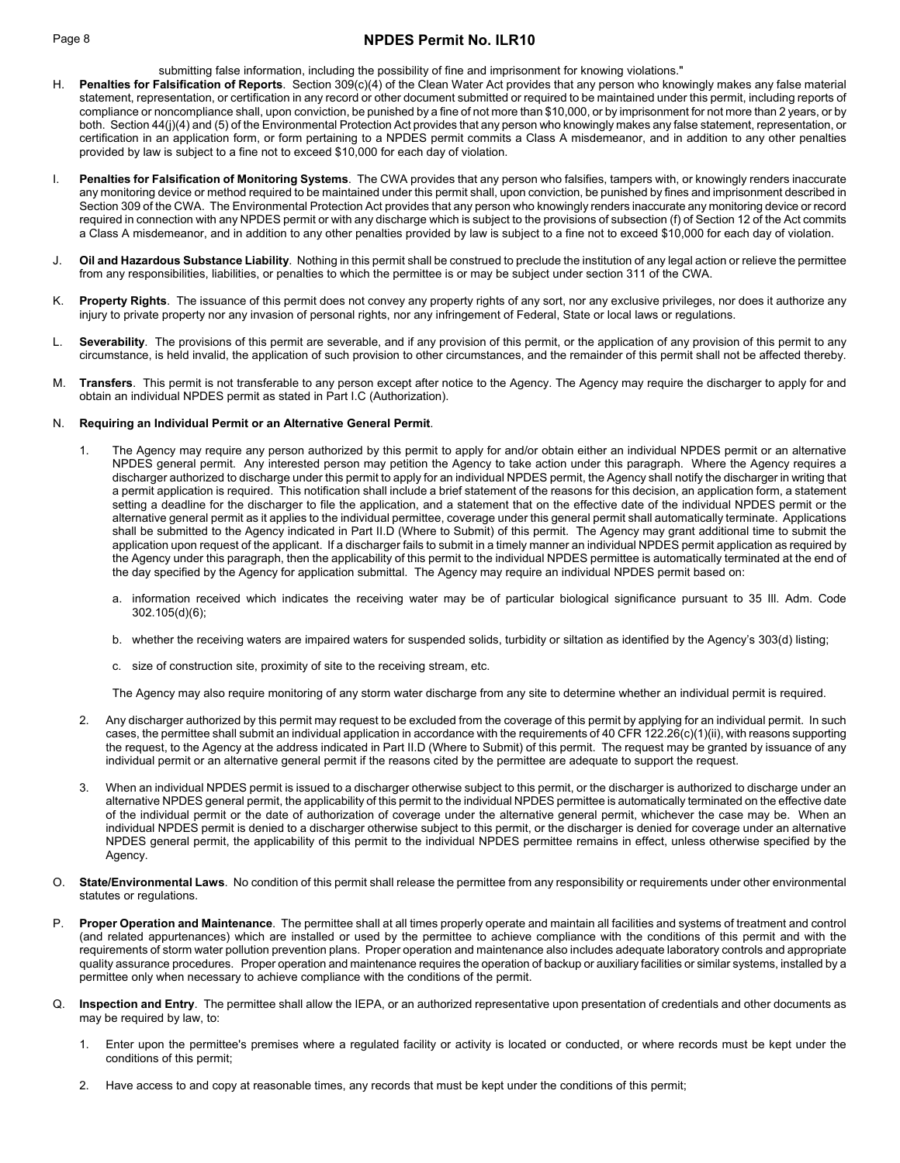# Page 8 **NPDES Permit No. ILR10**

submitting false information, including the possibility of fine and imprisonment for knowing violations."

- Penalties for Falsification of Reports. Section 309(c)(4) of the Clean Water Act provides that any person who knowingly makes any false material statement, representation, or certification in any record or other document submitted or required to be maintained under this permit, including reports of compliance or noncompliance shall, upon conviction, be punished by a fine of not more than \$10,000, or by imprisonment for not more than 2 years, or by both. Section 44(j)(4) and (5) of the Environmental Protection Act provides that any person who knowingly makes any false statement, representation, or certification in an application form, or form pertaining to a NPDES permit commits a Class A misdemeanor, and in addition to any other penalties provided by law is subject to a fine not to exceed \$10,000 for each day of violation.
- I. **Penalties for Falsification of Monitoring Systems**. The CWA provides that any person who falsifies, tampers with, or knowingly renders inaccurate any monitoring device or method required to be maintained under this permit shall, upon conviction, be punished by fines and imprisonment described in Section 309 of the CWA. The Environmental Protection Act provides that any person who knowingly renders inaccurate any monitoring device or record required in connection with any NPDES permit or with any discharge which is subject to the provisions of subsection (f) of Section 12 of the Act commits a Class A misdemeanor, and in addition to any other penalties provided by law is subject to a fine not to exceed \$10,000 for each day of violation.
- J. **Oil and Hazardous Substance Liability**. Nothing in this permit shall be construed to preclude the institution of any legal action or relieve the permittee from any responsibilities, liabilities, or penalties to which the permittee is or may be subject under section 311 of the CWA.
- K. **Property Rights**. The issuance of this permit does not convey any property rights of any sort, nor any exclusive privileges, nor does it authorize any injury to private property nor any invasion of personal rights, nor any infringement of Federal, State or local laws or regulations.
- L. **Severability**. The provisions of this permit are severable, and if any provision of this permit, or the application of any provision of this permit to any circumstance, is held invalid, the application of such provision to other circumstances, and the remainder of this permit shall not be affected thereby.
- M. **Transfers**. This permit is not transferable to any person except after notice to the Agency. The Agency may require the discharger to apply for and obtain an individual NPDES permit as stated in Part I.C (Authorization).

## N. **Requiring an Individual Permit or an Alternative General Permit**.

- 1. The Agency may require any person authorized by this permit to apply for and/or obtain either an individual NPDES permit or an alternative NPDES general permit. Any interested person may petition the Agency to take action under this paragraph. Where the Agency requires a discharger authorized to discharge under this permit to apply for an individual NPDES permit, the Agency shall notify the discharger in writing that a permit application is required. This notification shall include a brief statement of the reasons for this decision, an application form, a statement setting a deadline for the discharger to file the application, and a statement that on the effective date of the individual NPDES permit or the alternative general permit as it applies to the individual permittee, coverage under this general permit shall automatically terminate. Applications shall be submitted to the Agency indicated in Part II.D (Where to Submit) of this permit. The Agency may grant additional time to submit the application upon request of the applicant. If a discharger fails to submit in a timely manner an individual NPDES permit application as required by the Agency under this paragraph, then the applicability of this permit to the individual NPDES permittee is automatically terminated at the end of the day specified by the Agency for application submittal. The Agency may require an individual NPDES permit based on:
	- a. information received which indicates the receiving water may be of particular biological significance pursuant to 35 Ill. Adm. Code 302.105(d)(6);
	- b. whether the receiving waters are impaired waters for suspended solids, turbidity or siltation as identified by the Agency's 303(d) listing;
	- c. size of construction site, proximity of site to the receiving stream, etc.

The Agency may also require monitoring of any storm water discharge from any site to determine whether an individual permit is required.

- 2. Any discharger authorized by this permit may request to be excluded from the coverage of this permit by applying for an individual permit. In such cases, the permittee shall submit an individual application in accordance with the requirements of 40 CFR 122.26(c)(1)(ii), with reasons supporting the request, to the Agency at the address indicated in Part II.D (Where to Submit) of this permit. The request may be granted by issuance of any individual permit or an alternative general permit if the reasons cited by the permittee are adequate to support the request.
- 3. When an individual NPDES permit is issued to a discharger otherwise subject to this permit, or the discharger is authorized to discharge under an alternative NPDES general permit, the applicability of this permit to the individual NPDES permittee is automatically terminated on the effective date of the individual permit or the date of authorization of coverage under the alternative general permit, whichever the case may be. When an individual NPDES permit is denied to a discharger otherwise subject to this permit, or the discharger is denied for coverage under an alternative NPDES general permit, the applicability of this permit to the individual NPDES permittee remains in effect, unless otherwise specified by the Agency.
- O. **State/Environmental Laws**. No condition of this permit shall release the permittee from any responsibility or requirements under other environmental statutes or regulations.
- P. **Proper Operation and Maintenance**. The permittee shall at all times properly operate and maintain all facilities and systems of treatment and control (and related appurtenances) which are installed or used by the permittee to achieve compliance with the conditions of this permit and with the requirements of storm water pollution prevention plans. Proper operation and maintenance also includes adequate laboratory controls and appropriate quality assurance procedures. Proper operation and maintenance requires the operation of backup or auxiliary facilities or similar systems, installed by a permittee only when necessary to achieve compliance with the conditions of the permit.
- Q. **Inspection and Entry**. The permittee shall allow the IEPA, or an authorized representative upon presentation of credentials and other documents as may be required by law, to:
	- 1. Enter upon the permittee's premises where a regulated facility or activity is located or conducted, or where records must be kept under the conditions of this permit;
	- 2. Have access to and copy at reasonable times, any records that must be kept under the conditions of this permit;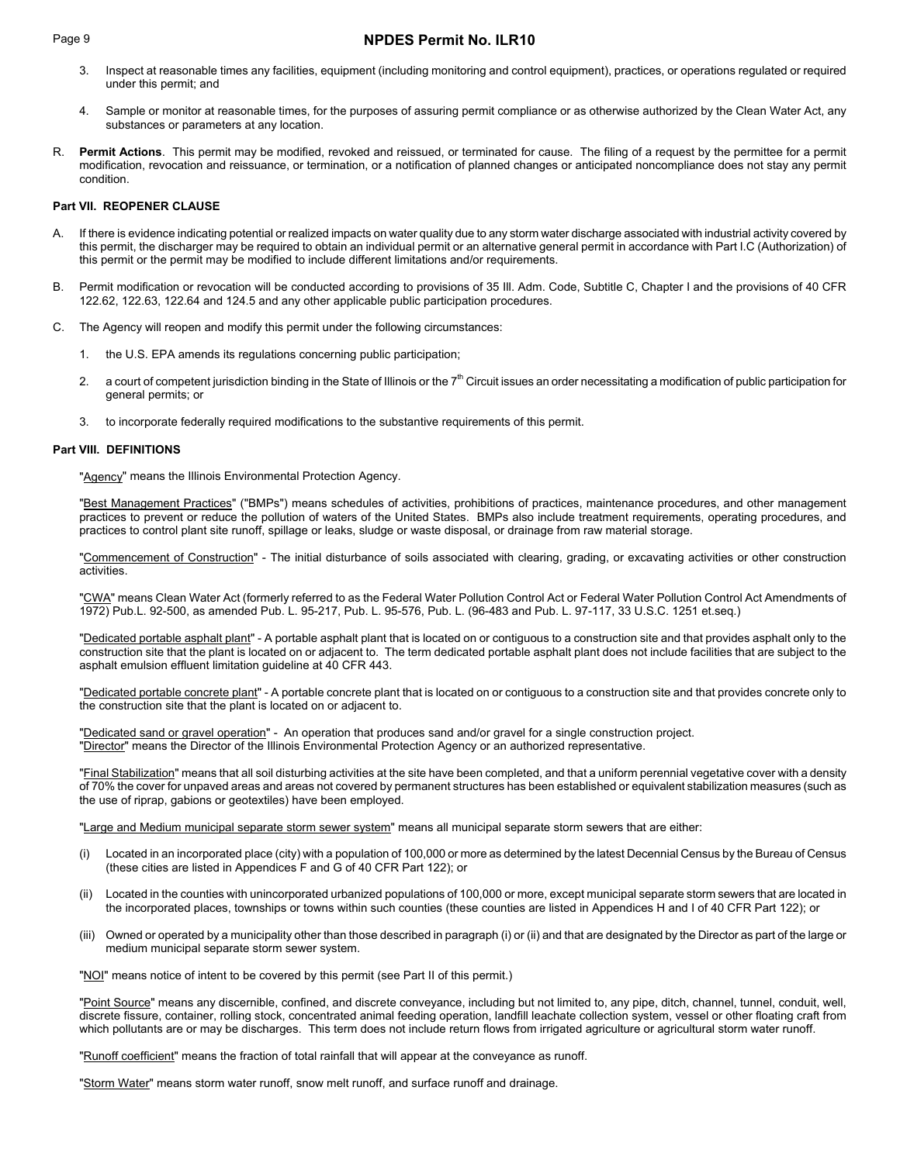# Page 9 **NPDES Permit No. ILR10**

- 3. Inspect at reasonable times any facilities, equipment (including monitoring and control equipment), practices, or operations regulated or required under this permit; and
- 4. Sample or monitor at reasonable times, for the purposes of assuring permit compliance or as otherwise authorized by the Clean Water Act, any substances or parameters at any location.
- R. **Permit Actions**. This permit may be modified, revoked and reissued, or terminated for cause. The filing of a request by the permittee for a permit modification, revocation and reissuance, or termination, or a notification of planned changes or anticipated noncompliance does not stay any permit condition.

# **Part VII. REOPENER CLAUSE**

- A. If there is evidence indicating potential or realized impacts on water quality due to any storm water discharge associated with industrial activity covered by this permit, the discharger may be required to obtain an individual permit or an alternative general permit in accordance with Part I.C (Authorization) of this permit or the permit may be modified to include different limitations and/or requirements.
- Permit modification or revocation will be conducted according to provisions of 35 III. Adm. Code, Subtitle C, Chapter I and the provisions of 40 CFR 122.62, 122.63, 122.64 and 124.5 and any other applicable public participation procedures.
- C. The Agency will reopen and modify this permit under the following circumstances:
	- 1. the U.S. EPA amends its regulations concerning public participation;
	- 2. a court of competent jurisdiction binding in the State of Illinois or the  $7<sup>th</sup>$  Circuit issues an order necessitating a modification of public participation for general permits; or
	- 3. to incorporate federally required modifications to the substantive requirements of this permit.

## **Part VIII. DEFINITIONS**

"Agency" means the Illinois Environmental Protection Agency.

"Best Management Practices" ("BMPs") means schedules of activities, prohibitions of practices, maintenance procedures, and other management practices to prevent or reduce the pollution of waters of the United States. BMPs also include treatment requirements, operating procedures, and practices to control plant site runoff, spillage or leaks, sludge or waste disposal, or drainage from raw material storage.

"Commencement of Construction" - The initial disturbance of soils associated with clearing, grading, or excavating activities or other construction activities.

"CWA" means Clean Water Act (formerly referred to as the Federal Water Pollution Control Act or Federal Water Pollution Control Act Amendments of 1972) Pub.L. 92-500, as amended Pub. L. 95-217, Pub. L. 95-576, Pub. L. (96-483 and Pub. L. 97-117, 33 U.S.C. 1251 et.seq.)

"Dedicated portable asphalt plant" - A portable asphalt plant that is located on or contiguous to a construction site and that provides asphalt only to the construction site that the plant is located on or adjacent to. The term dedicated portable asphalt plant does not include facilities that are subject to the asphalt emulsion effluent limitation guideline at 40 CFR 443.

"Dedicated portable concrete plant" - A portable concrete plant that is located on or contiguous to a construction site and that provides concrete only to the construction site that the plant is located on or adjacent to.

"Dedicated sand or gravel operation" - An operation that produces sand and/or gravel for a single construction project. "Director" means the Director of the Illinois Environmental Protection Agency or an authorized representative.

"Final Stabilization" means that all soil disturbing activities at the site have been completed, and that a uniform perennial vegetative cover with a density of 70% the cover for unpaved areas and areas not covered by permanent structures has been established or equivalent stabilization measures (such as the use of riprap, gabions or geotextiles) have been employed.

"Large and Medium municipal separate storm sewer system" means all municipal separate storm sewers that are either:

- (i) Located in an incorporated place (city) with a population of 100,000 or more as determined by the latest Decennial Census by the Bureau of Census (these cities are listed in Appendices F and G of 40 CFR Part 122); or
- (ii) Located in the counties with unincorporated urbanized populations of 100,000 or more, except municipal separate storm sewers that are located in the incorporated places, townships or towns within such counties (these counties are listed in Appendices H and I of 40 CFR Part 122); or
- (iii) Owned or operated by a municipality other than those described in paragraph (i) or (ii) and that are designated by the Director as part of the large or medium municipal separate storm sewer system.

"NOI" means notice of intent to be covered by this permit (see Part II of this permit.)

"Point Source" means any discernible, confined, and discrete conveyance, including but not limited to, any pipe, ditch, channel, tunnel, conduit, well, discrete fissure, container, rolling stock, concentrated animal feeding operation, landfill leachate collection system, vessel or other floating craft from which pollutants are or may be discharges. This term does not include return flows from irrigated agriculture or agricultural storm water runoff.

"Runoff coefficient" means the fraction of total rainfall that will appear at the conveyance as runoff.

"Storm Water" means storm water runoff, snow melt runoff, and surface runoff and drainage.